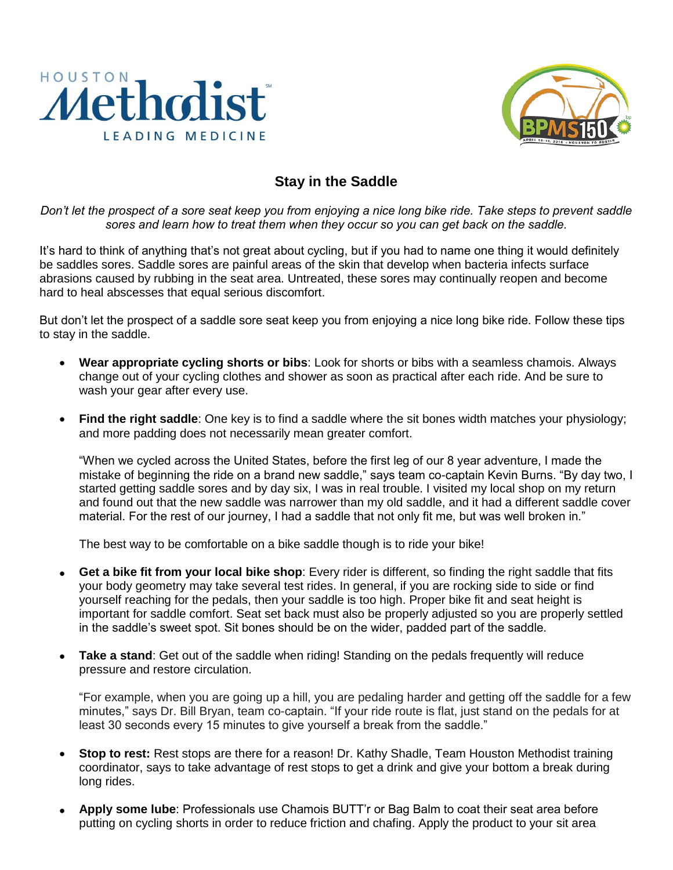



## **Stay in the Saddle**

*Don't let the prospect of a sore seat keep you from enjoying a nice long bike ride. Take steps to prevent saddle sores and learn how to treat them when they occur so you can get back on the saddle.*

It's hard to think of anything that's not great about cycling, but if you had to name one thing it would definitely be saddles sores. Saddle sores are painful areas of the skin that develop when bacteria infects surface abrasions caused by rubbing in the seat area. Untreated, these sores may continually reopen and become hard to heal abscesses that equal serious discomfort.

But don't let the prospect of a saddle sore seat keep you from enjoying a nice long bike ride. Follow these tips to stay in the saddle.

- **Wear appropriate cycling shorts or bibs**: Look for shorts or bibs with a seamless chamois. Always change out of your cycling clothes and shower as soon as practical after each ride. And be sure to wash your gear after every use.
- **Find the right saddle**: One key is to find a saddle where the sit bones width matches your physiology; and more padding does not necessarily mean greater comfort.

"When we cycled across the United States, before the first leg of our 8 year adventure, I made the mistake of beginning the ride on a brand new saddle," says team co-captain Kevin Burns. "By day two, I started getting saddle sores and by day six, I was in real trouble. I visited my local shop on my return and found out that the new saddle was narrower than my old saddle, and it had a different saddle cover material. For the rest of our journey, I had a saddle that not only fit me, but was well broken in."

The best way to be comfortable on a bike saddle though is to ride your bike!

- **Get a bike fit from your local bike shop**: Every rider is different, so finding the right saddle that fits your body geometry may take several test rides. In general, if you are rocking side to side or find yourself reaching for the pedals, then your saddle is too high. Proper bike fit and seat height is important for saddle comfort. Seat set back must also be properly adjusted so you are properly settled in the saddle's sweet spot. Sit bones should be on the wider, padded part of the saddle.
- **Take a stand**: Get out of the saddle when riding! Standing on the pedals frequently will reduce pressure and restore circulation.

"For example, when you are going up a hill, you are pedaling harder and getting off the saddle for a few minutes," says Dr. Bill Bryan, team co-captain. "If your ride route is flat, just stand on the pedals for at least 30 seconds every 15 minutes to give yourself a break from the saddle."

- **Stop to rest:** Rest stops are there for a reason! Dr. Kathy Shadle, Team Houston Methodist training coordinator, says to take advantage of rest stops to get a drink and give your bottom a break during long rides.
- **Apply some lube**: Professionals use Chamois BUTT'r or Bag Balm to coat their seat area before putting on cycling shorts in order to reduce friction and chafing. Apply the product to your sit area